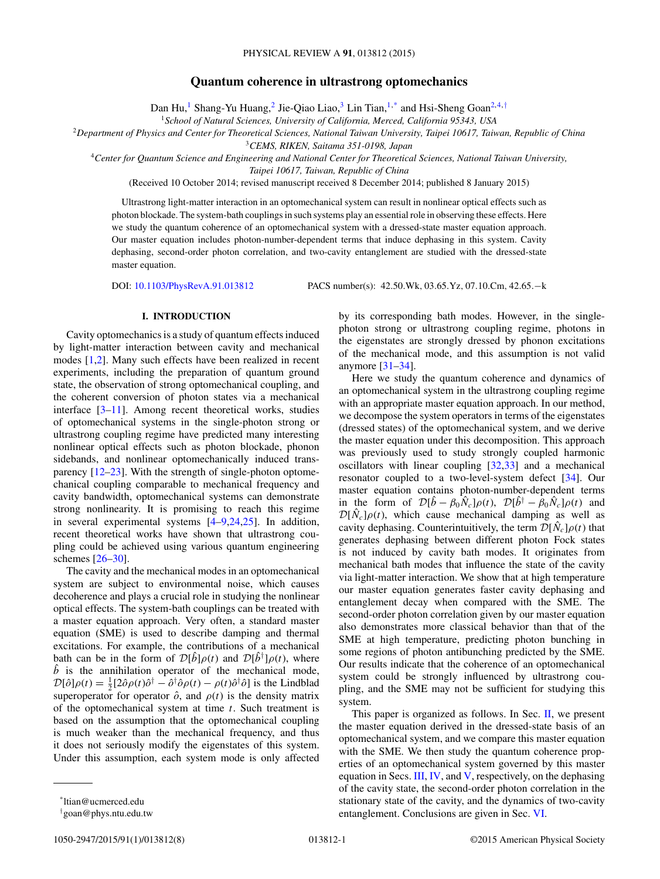# **Quantum coherence in ultrastrong optomechanics**

Dan Hu,<sup>1</sup> Shang-Yu Huang,<sup>2</sup> Jie-Qiao Liao,<sup>3</sup> Lin Tian,<sup>1,\*</sup> and Hsi-Sheng Goan<sup>2,4,†</sup>

<sup>1</sup>*School of Natural Sciences, University of California, Merced, California 95343, USA*

<sup>2</sup>*Department of Physics and Center for Theoretical Sciences, National Taiwan University, Taipei 10617, Taiwan, Republic of China*

<sup>3</sup>*CEMS, RIKEN, Saitama 351-0198, Japan*

<sup>4</sup>*Center for Quantum Science and Engineering and National Center for Theoretical Sciences, National Taiwan University,*

*Taipei 10617, Taiwan, Republic of China*

(Received 10 October 2014; revised manuscript received 8 December 2014; published 8 January 2015)

Ultrastrong light-matter interaction in an optomechanical system can result in nonlinear optical effects such as photon blockade. The system-bath couplings in such systems play an essential role in observing these effects. Here we study the quantum coherence of an optomechanical system with a dressed-state master equation approach. Our master equation includes photon-number-dependent terms that induce dephasing in this system. Cavity dephasing, second-order photon correlation, and two-cavity entanglement are studied with the dressed-state master equation.

DOI: [10.1103/PhysRevA.91.013812](http://dx.doi.org/10.1103/PhysRevA.91.013812) PACS number(s): 42*.*50*.*Wk*,* 03*.*65*.*Yz*,* 07*.*10*.*Cm*,* 42*.*65*.*−k

# **I. INTRODUCTION**

Cavity optomechanics is a study of quantum effects induced by light-matter interaction between cavity and mechanical modes [\[1,2\]](#page-6-0). Many such effects have been realized in recent experiments, including the preparation of quantum ground state, the observation of strong optomechanical coupling, and the coherent conversion of photon states via a mechanical interface [\[3–11\]](#page-6-0). Among recent theoretical works, studies of optomechanical systems in the single-photon strong or ultrastrong coupling regime have predicted many interesting nonlinear optical effects such as photon blockade, phonon sidebands, and nonlinear optomechanically induced transparency [\[12–23\]](#page-6-0). With the strength of single-photon optomechanical coupling comparable to mechanical frequency and cavity bandwidth, optomechanical systems can demonstrate strong nonlinearity. It is promising to reach this regime in several experimental systems [\[4–9,24,25\]](#page-6-0). In addition, recent theoretical works have shown that ultrastrong coupling could be achieved using various quantum engineering schemes [\[26–](#page-6-0)[30\]](#page-7-0).

The cavity and the mechanical modes in an optomechanical system are subject to environmental noise, which causes decoherence and plays a crucial role in studying the nonlinear optical effects. The system-bath couplings can be treated with a master equation approach. Very often, a standard master equation (SME) is used to describe damping and thermal excitations. For example, the contributions of a mechanical bath can be in the form of  $\mathcal{D}[\hat{b}]\rho(t)$  and  $\mathcal{D}[\hat{b}^{\dagger}]\rho(t)$ , where  $\ddot{b}$  is the annihilation operator of the mechanical mode,  $\mathcal{D}[\hat{o}]\rho(t) = \frac{1}{2} [2\hat{o}\rho(t)\hat{o}^{\dagger} - \hat{o}^{\dagger}\hat{o}\rho(t) - \rho(t)\hat{o}^{\dagger}\hat{o}]$  is the Lindblad superoperator for operator  $\hat{o}$ , and  $\rho(t)$  is the density matrix of the optomechanical system at time *t*. Such treatment is based on the assumption that the optomechanical coupling is much weaker than the mechanical frequency, and thus it does not seriously modify the eigenstates of this system. Under this assumption, each system mode is only affected

by its corresponding bath modes. However, in the singlephoton strong or ultrastrong coupling regime, photons in the eigenstates are strongly dressed by phonon excitations of the mechanical mode, and this assumption is not valid anymore [\[31–34\]](#page-7-0).

Here we study the quantum coherence and dynamics of an optomechanical system in the ultrastrong coupling regime with an appropriate master equation approach. In our method, we decompose the system operators in terms of the eigenstates (dressed states) of the optomechanical system, and we derive the master equation under this decomposition. This approach was previously used to study strongly coupled harmonic oscillators with linear coupling [\[32,33\]](#page-7-0) and a mechanical resonator coupled to a two-level-system defect [\[34\]](#page-7-0). Our master equation contains photon-number-dependent terms in the form of  $\mathcal{D}[\hat{b} - \beta_0 \hat{N}_c] \rho(t)$ ,  $\mathcal{D}[\hat{b}^{\dagger} - \beta_0 \hat{N}_c] \rho(t)$  and  $\mathcal{D}[\hat{N}_c]\rho(t)$ , which cause mechanical damping as well as cavity dephasing. Counterintuitively, the term  $\mathcal{D}[\hat{N}_c]\rho(t)$  that generates dephasing between different photon Fock states is not induced by cavity bath modes. It originates from mechanical bath modes that influence the state of the cavity via light-matter interaction. We show that at high temperature our master equation generates faster cavity dephasing and entanglement decay when compared with the SME. The second-order photon correlation given by our master equation also demonstrates more classical behavior than that of the SME at high temperature, predicting photon bunching in some regions of photon antibunching predicted by the SME. Our results indicate that the coherence of an optomechanical system could be strongly influenced by ultrastrong coupling, and the SME may not be sufficient for studying this system.

This paper is organized as follows. In Sec.  $\mathbf{II}$ , we present the master equation derived in the dressed-state basis of an optomechanical system, and we compare this master equation with the SME. We then study the quantum coherence properties of an optomechanical system governed by this master equation in Secs. [III,](#page-2-0) [IV,](#page-2-0) and [V,](#page-3-0) respectively, on the dephasing of the cavity state, the second-order photon correlation in the stationary state of the cavity, and the dynamics of two-cavity entanglement. Conclusions are given in Sec. [VI.](#page-3-0)

<sup>\*</sup>ltian@ucmerced.edu

<sup>†</sup> goan@phys.ntu.edu.tw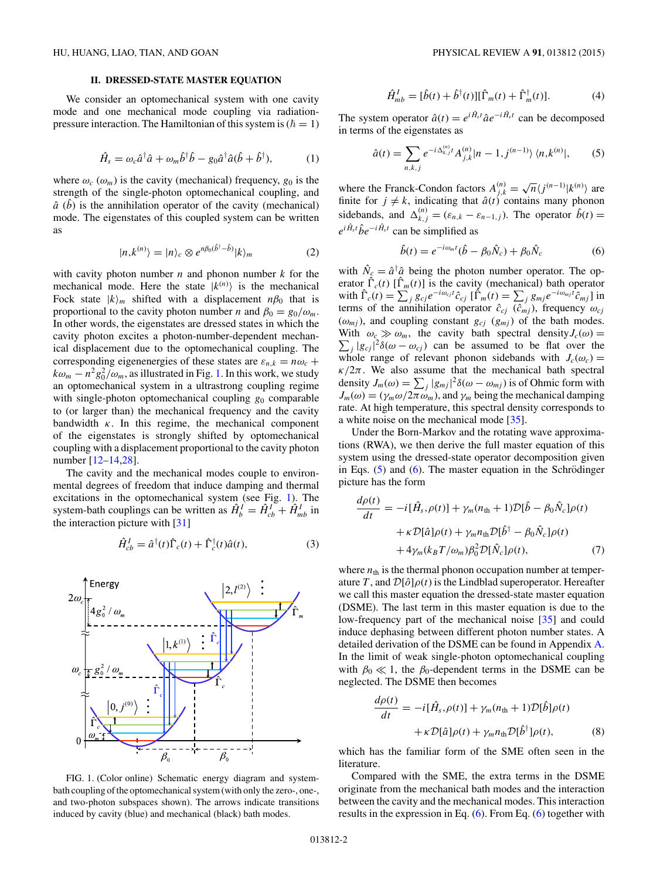# **II. DRESSED-STATE MASTER EQUATION**

<span id="page-1-0"></span>We consider an optomechanical system with one cavity mode and one mechanical mode coupling via radiationpressure interaction. The Hamiltonian of this system is  $(\hbar = 1)$ 

$$
\hat{H}_s = \omega_c \hat{a}^\dagger \hat{a} + \omega_m \hat{b}^\dagger \hat{b} - g_0 \hat{a}^\dagger \hat{a} (\hat{b} + \hat{b}^\dagger), \tag{1}
$$

where  $\omega_c$  ( $\omega_m$ ) is the cavity (mechanical) frequency,  $g_0$  is the strength of the single-photon optomechanical coupling, and  $\hat{a}$  ( $\hat{b}$ ) is the annihilation operator of the cavity (mechanical) mode. The eigenstates of this coupled system can be written as

$$
|n,k^{(n)}\rangle = |n\rangle_c \otimes e^{n\beta_0(\hat{b}^\dagger - \hat{b})}|k\rangle_m \tag{2}
$$

with cavity photon number *n* and phonon number *k* for the mechanical mode. Here the state  $|k^{(n)}\rangle$  is the mechanical Fock state  $|k\rangle_m$  shifted with a displacement  $n\beta_0$  that is proportional to the cavity photon number *n* and  $\beta_0 = g_0/\omega_m$ . In other words, the eigenstates are dressed states in which the cavity photon excites a photon-number-dependent mechanical displacement due to the optomechanical coupling. The corresponding eigenenergies of these states are  $\varepsilon_{n,k} = n\omega_c +$  $k\omega_m - n^2 g_0^2/\omega_m$ , as illustrated in Fig. 1. In this work, we study an optomechanical system in a ultrastrong coupling regime with single-photon optomechanical coupling  $g_0$  comparable to (or larger than) the mechanical frequency and the cavity bandwidth  $\kappa$ . In this regime, the mechanical component of the eigenstates is strongly shifted by optomechanical coupling with a displacement proportional to the cavity photon number [\[12–14,28\]](#page-6-0).

The cavity and the mechanical modes couple to environmental degrees of freedom that induce damping and thermal excitations in the optomechanical system (see Fig. 1). The system-bath couplings can be written as  $\hat{H}_{b}^{I} = \hat{H}_{cb}^{I} + \hat{H}_{mb}^{I}$  in the interaction picture with [\[31\]](#page-7-0)

$$
\hat{H}_{cb}^{I} = \hat{a}^{\dagger}(t)\hat{\Gamma}_{c}(t) + \hat{\Gamma}_{c}^{\dagger}(t)\hat{a}(t),
$$
\n(3)



FIG. 1. (Color online) Schematic energy diagram and systembath coupling of the optomechanical system (with only the zero-, one-, and two-photon subspaces shown). The arrows indicate transitions induced by cavity (blue) and mechanical (black) bath modes.

$$
\hat{H}_{mb}^I = [\hat{b}(t) + \hat{b}^\dagger(t)][\hat{\Gamma}_m(t) + \hat{\Gamma}_m^\dagger(t)].\tag{4}
$$

The system operator  $\hat{a}(t) = e^{i\hat{H}_s t} \hat{a} e^{-i\hat{H}_s t}$  can be decomposed in terms of the eigenstates as

$$
\hat{a}(t) = \sum_{n,k,j} e^{-i\Delta_{k,j}^{(n)}t} A_{j,k}^{(n)} |n-1,j^{(n-1)}\rangle \langle n,k^{(n)}|,
$$
 (5)

where the Franck-Condon factors  $A_{j,k}^{(n)} = \sqrt{n} \langle j^{(n-1)} | k^{(n)} \rangle$  are finite for  $j \neq k$ , indicating that  $\hat{a}(t)$  contains many phonon sidebands, and  $\Delta_{k,j}^{(n)} = (\varepsilon_{n,k} - \varepsilon_{n-1,j})$ . The operator  $\hat{b}(t) =$  $e^{i\hat{H}_s t} \hat{b} e^{-i\hat{H}_s t}$  can be simplified as

$$
\hat{b}(t) = e^{-i\omega_m t}(\hat{b} - \beta_0 \hat{N}_c) + \beta_0 \hat{N}_c
$$
\n(6)

with  $\hat{N}_c = \hat{a}^\dagger \hat{a}$  being the photon number operator. The operator  $\hat{\Gamma}_c(t)$  [ $\hat{\Gamma}_m(t)$ ] is the cavity (mechanical) bath operator with  $\hat{\Gamma}_c(t) = \sum_j g_{cj} e^{-i\omega_{cj}t} \hat{c}_{cj} [\hat{\Gamma}_m(t) = \sum_j g_{mj} e^{-i\omega_{mj}t} \hat{c}_{mj}]$  in terms of the annihilation operator  $\hat{c}_{cj}$  ( $\hat{c}_{mj}$ ), frequency  $\omega_{cj}$  $(\omega_{mj})$ , and coupling constant  $g_{cj}$  ( $g_{mj}$ ) of the bath modes. With  $\omega_c \gg \omega_m$ , the cavity bath spectral density  $J_c(\omega) =$ With  $\omega_c \gg \omega_m$ , the cavity bath spectral density  $J_c(\omega) = \sum_j |g_{cj}|^2 \delta(\omega - \omega_{cj})$  can be assumed to be flat over the whole range of relevant phonon sidebands with  $J_c(\omega_c)$  =  $\kappa/2\pi$ . We also assume that the mechanical bath spectral density  $J_m(\omega) = \sum_j |g_{mj}|^2 \delta(\omega - \omega_{mj})$  is of Ohmic form with  $J_m(\omega) = (\gamma_m \omega / 2\pi \omega_m)$ , and  $\gamma_m$  being the mechanical damping rate. At high temperature, this spectral density corresponds to a white noise on the mechanical mode [\[35\]](#page-7-0).

Under the Born-Markov and the rotating wave approximations (RWA), we then derive the full master equation of this system using the dressed-state operator decomposition given in Eqs.  $(5)$  and  $(6)$ . The master equation in the Schrödinger picture has the form

$$
\frac{d\rho(t)}{dt} = -i[\hat{H}_s, \rho(t)] + \gamma_m(n_{\text{th}} + 1)\mathcal{D}[\hat{b} - \beta_0 \hat{N}_c]\rho(t) \n+ \kappa \mathcal{D}[\hat{a}]\rho(t) + \gamma_m n_{\text{th}} \mathcal{D}[\hat{b}^\dagger - \beta_0 \hat{N}_c]\rho(t) \n+ 4\gamma_m(k_B T/\omega_m)\beta_0^2 \mathcal{D}[\hat{N}_c]\rho(t),
$$
\n(7)

where  $n_{\text{th}}$  is the thermal phonon occupation number at temperature *T*, and  $\mathcal{D}[\hat{\rho}]\rho(t)$  is the Lindblad superoperator. Hereafter we call this master equation the dressed-state master equation (DSME). The last term in this master equation is due to the low-frequency part of the mechanical noise [\[35\]](#page-7-0) and could induce dephasing between different photon number states. A detailed derivation of the DSME can be found in Appendix [A.](#page-3-0) In the limit of weak single-photon optomechanical coupling with  $\beta_0 \ll 1$ , the  $\beta_0$ -dependent terms in the DSME can be neglected. The DSME then becomes

$$
\frac{d\rho(t)}{dt} = -i[\hat{H}_s, \rho(t)] + \gamma_m (n_{\text{th}} + 1) \mathcal{D}[\hat{b}] \rho(t) \n+ \kappa \mathcal{D}[\hat{a}] \rho(t) + \gamma_m n_{\text{th}} \mathcal{D}[\hat{b}^\dagger] \rho(t),
$$
\n(8)

which has the familiar form of the SME often seen in the literature.

Compared with the SME, the extra terms in the DSME originate from the mechanical bath modes and the interaction between the cavity and the mechanical modes. This interaction results in the expression in Eq. (6). From Eq. (6) together with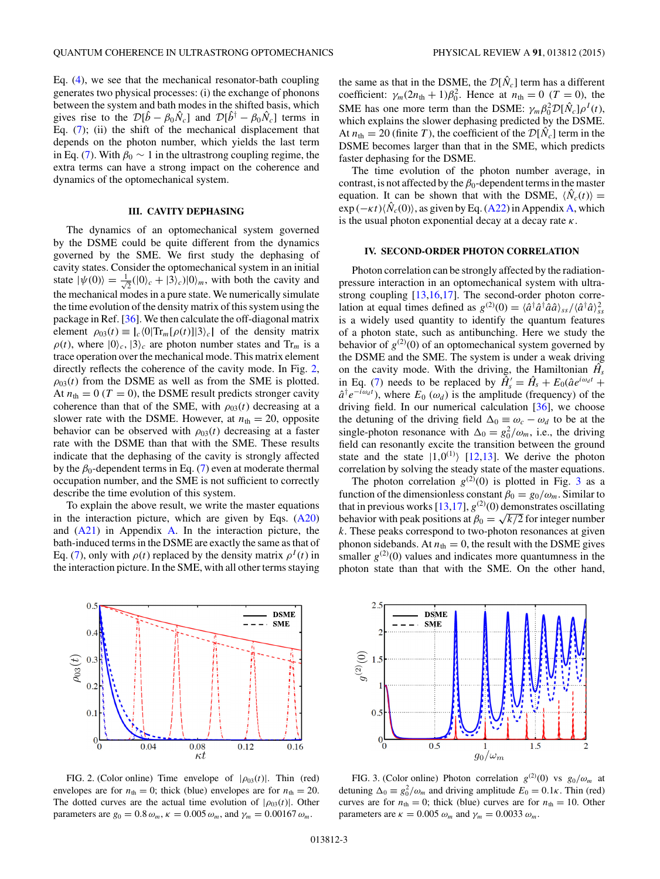<span id="page-2-0"></span>Eq. [\(4\)](#page-1-0), we see that the mechanical resonator-bath coupling generates two physical processes: (i) the exchange of phonons between the system and bath modes in the shifted basis, which gives rise to the  $\mathcal{D}[\hat{b} - \beta_0 \hat{N}_c]$  and  $\mathcal{D}[\hat{b}^{\dagger} - \beta_0 \hat{N}_c]$  terms in Eq. [\(7\)](#page-1-0); (ii) the shift of the mechanical displacement that depends on the photon number, which yields the last term in Eq. [\(7\)](#page-1-0). With  $\beta_0 \sim 1$  in the ultrastrong coupling regime, the extra terms can have a strong impact on the coherence and dynamics of the optomechanical system.

# **III. CAVITY DEPHASING**

The dynamics of an optomechanical system governed by the DSME could be quite different from the dynamics governed by the SME. We first study the dephasing of cavity states. Consider the optomechanical system in an initial state  $|\psi(0)\rangle = \frac{1}{\sqrt{2}}$  $\overline{Z}(0|0\rangle_c + |3\rangle_c)|0\rangle_m$ , with both the cavity and the mechanical modes in a pure state. We numerically simulate the time evolution of the density matrix of this system using the package in Ref. [\[36\]](#page-7-0). We then calculate the off-diagonal matrix element  $\rho_{03}(t) \equiv |c \langle 0| \text{Tr}_{m}[\rho(t)]|3 \rangle_c$  of the density matrix  $\rho(t)$ , where  $|0\rangle_c$ ,  $|3\rangle_c$  are photon number states and Tr<sub>*m*</sub> is a trace operation over the mechanical mode. This matrix element directly reflects the coherence of the cavity mode. In Fig. 2,  $\rho_{03}(t)$  from the DSME as well as from the SME is plotted. At  $n_{\text{th}} = 0$  (*T* = 0), the DSME result predicts stronger cavity coherence than that of the SME, with  $\rho_{03}(t)$  decreasing at a slower rate with the DSME. However, at  $n_{\text{th}} = 20$ , opposite behavior can be observed with  $\rho_{03}(t)$  decreasing at a faster rate with the DSME than that with the SME. These results indicate that the dephasing of the cavity is strongly affected by the  $\beta_0$ -dependent terms in Eq. [\(7\)](#page-1-0) even at moderate thermal occupation number, and the SME is not sufficient to correctly describe the time evolution of this system.

To explain the above result, we write the master equations in the interaction picture, which are given by Eqs.  $(A20)$ and  $(A21)$  in Appendix [A.](#page-3-0) In the interaction picture, the bath-induced terms in the DSME are exactly the same as that of Eq. [\(7\)](#page-1-0), only with  $\rho(t)$  replaced by the density matrix  $\rho^{I}(t)$  in the interaction picture. In the SME, with all other terms staying



FIG. 2. (Color online) Time envelope of  $|\rho_{03}(t)|$ . Thin (red) envelopes are for  $n_{\text{th}} = 0$ ; thick (blue) envelopes are for  $n_{\text{th}} = 20$ . The dotted curves are the actual time evolution of  $|\rho_{03}(t)|$ . Other parameters are  $g_0 = 0.8 \omega_m$ ,  $\kappa = 0.005 \omega_m$ , and  $\gamma_m = 0.00167 \omega_m$ .

the same as that in the DSME, the  $\mathcal{D}[\hat{N}_c]$  term has a different coefficient:  $\gamma_m(2n_{\text{th}} + 1)\beta_0^2$ . Hence at  $n_{\text{th}} = 0$  (*T* = 0), the SME has one more term than the DSME:  $\gamma_m \beta_0^2 \mathcal{D}[\hat{N}_c] \rho^I(t)$ , which explains the slower dephasing predicted by the DSME. At  $n_{\text{th}} = 20$  (finite *T*), the coefficient of the  $\mathcal{D}[\hat{N}_c]$  term in the DSME becomes larger than that in the SME, which predicts faster dephasing for the DSME.

The time evolution of the photon number average, in contrast, is not affected by the  $\beta_0$ -dependent terms in the master equation. It can be shown that with the DSME,  $\langle \hat{N}_c(t) \rangle$  =  $\exp(-\kappa t) \langle \hat{N}_c(0) \rangle$ , as given by Eq. [\(A22\)](#page-5-0) in Appendix [A,](#page-3-0) which is the usual photon exponential decay at a decay rate *κ*.

#### **IV. SECOND-ORDER PHOTON CORRELATION**

Photon correlation can be strongly affected by the radiationpressure interaction in an optomechanical system with ultrastrong coupling [\[13,16,17\]](#page-6-0). The second-order photon correlation at equal times defined as  $g^{(2)}(0) = \langle \hat{a}^\dagger \hat{a}^\dagger \hat{a} \hat{a} \rangle_{ss}/\langle \hat{a}^\dagger \hat{a} \rangle_{ss}^2$ is a widely used quantity to identify the quantum features of a photon state, such as antibunching. Here we study the behavior of  $g^{(2)}(0)$  of an optomechanical system governed by the DSME and the SME. The system is under a weak driving on the cavity mode. With the driving, the Hamiltonian  $\hat{H}_s$ in Eq. [\(7\)](#page-1-0) needs to be replaced by  $\tilde{H}_s' = \hat{H}_s + E_0(\hat{a}e^{i\omega_d t} +$  $\hat{a}^{\dagger}e^{-i\omega_d t}$ , where  $E_0(\omega_d)$  is the amplitude (frequency) of the driving field. In our numerical calculation [\[36\]](#page-7-0), we choose the detuning of the driving field  $\Delta_0 \equiv \omega_c - \omega_d$  to be at the single-photon resonance with  $\Delta_0 = g_0^2/\omega_m$ , i.e., the driving field can resonantly excite the transition between the ground state and the state  $|1,0^{(1)}\rangle$  [\[12,13\]](#page-6-0). We derive the photon correlation by solving the steady state of the master equations.

The photon correlation  $g^{(2)}(0)$  is plotted in Fig. 3 as a function of the dimensionless constant  $\beta_0 = g_0/\omega_m$ . Similar to that in previous works  $[13,17]$ ,  $g^{(2)}(0)$  demonstrates oscillating behavior with peak positions at  $\beta_0 = \sqrt{k/2}$  for integer number *k*. These peaks correspond to two-photon resonances at given phonon sidebands. At  $n_{\text{th}} = 0$ , the result with the DSME gives smaller  $g^{(2)}(0)$  values and indicates more quantumness in the photon state than that with the SME. On the other hand,



FIG. 3. (Color online) Photon correlation  $g^{(2)}(0)$  vs  $g_0/\omega_m$  at detuning  $\Delta_0 \equiv g_0^2/\omega_m$  and driving amplitude  $E_0 = 0.1\kappa$ . Thin (red) curves are for  $n_{\text{th}} = 0$ ; thick (blue) curves are for  $n_{\text{th}} = 10$ . Other parameters are  $\kappa = 0.005 \omega_m$  and  $\gamma_m = 0.0033 \omega_m$ .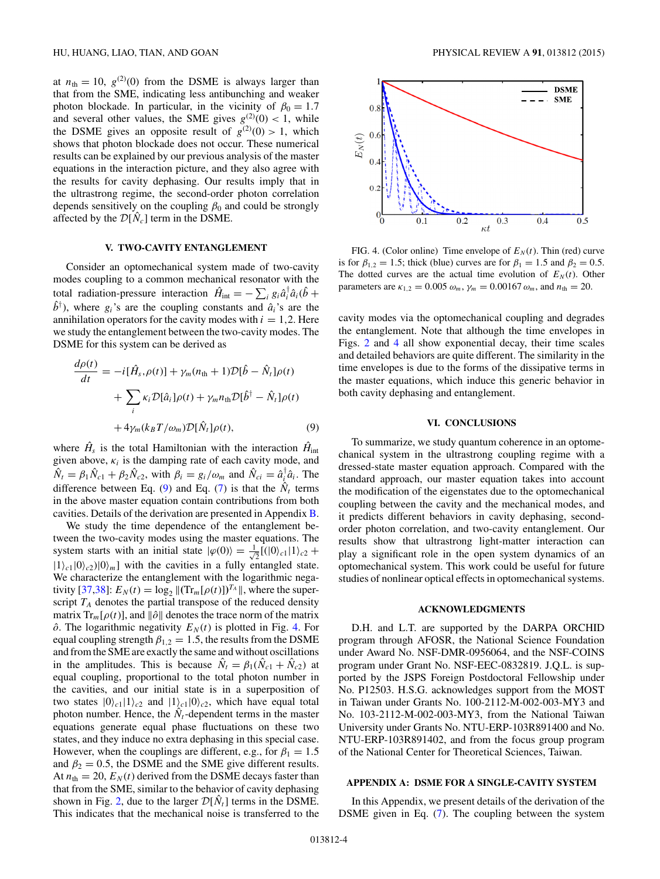<span id="page-3-0"></span>at  $n_{\text{th}} = 10$ ,  $g^{(2)}(0)$  from the DSME is always larger than that from the SME, indicating less antibunching and weaker photon blockade. In particular, in the vicinity of  $\beta_0 = 1.7$ and several other values, the SME gives  $g^{(2)}(0) < 1$ , while the DSME gives an opposite result of  $g^{(2)}(0) > 1$ , which shows that photon blockade does not occur. These numerical results can be explained by our previous analysis of the master equations in the interaction picture, and they also agree with the results for cavity dephasing. Our results imply that in the ultrastrong regime, the second-order photon correlation depends sensitively on the coupling  $\beta_0$  and could be strongly affected by the  $\mathcal{D}[\hat{N}_c]$  term in the DSME.

### **V. TWO-CAVITY ENTANGLEMENT**

Consider an optomechanical system made of two-cavity modes coupling to a common mechanical resonator with the total radiation-pressure interaction  $\hat{H}_{int} = -\sum_{i} g_{i} \hat{a}_{i}^{\dagger} \hat{a}_{i} (\hat{b} + \hat{b}_{i} \hat{b}_{i}^{\dagger})$  $\hat{b}^{\dagger}$ ), where  $g_i$ 's are the coupling constants and  $\hat{a}_i$ 's are the annihilation operators for the cavity modes with  $i = 1, 2$ . Here we study the entanglement between the two-cavity modes. The DSME for this system can be derived as

$$
\frac{d\rho(t)}{dt} = -i[\hat{H}_s, \rho(t)] + \gamma_m(n_{\text{th}} + 1)\mathcal{D}[\hat{b} - \hat{N}_t]\rho(t) \n+ \sum_i \kappa_i \mathcal{D}[\hat{a}_i]\rho(t) + \gamma_m n_{\text{th}} \mathcal{D}[\hat{b}^\dagger - \hat{N}_t]\rho(t) \n+ 4\gamma_m(k_B T/\omega_m)\mathcal{D}[\hat{N}_t]\rho(t),
$$
\n(9)

where  $\hat{H}_s$  is the total Hamiltonian with the interaction  $\hat{H}_{int}$ given above,  $\kappa_i$  is the damping rate of each cavity mode, and  $\hat{N}_t = \beta_1 \hat{N}_{c1} + \beta_2 \hat{N}_{c2}$ , with  $\beta_i = g_i/\omega_m$  and  $\hat{N}_{ci} = \hat{a}_{i\hat{i}}^{\dagger} \hat{a}_{i}$ . The difference between Eq. (9) and Eq. [\(7\)](#page-1-0) is that the  $\hat{N}_t$  terms in the above master equation contain contributions from both cavities. Details of the derivation are presented in Appendix [B.](#page-6-0)

We study the time dependence of the entanglement between the two-cavity modes using the master equations. The system starts with an initial state  $|\varphi(0)\rangle = \frac{1}{\sqrt{2}}$  $\frac{1}{2}$ [(|0)<sub>c1</sub>|1)<sub>c2</sub> +  $|1\rangle_{c1}|0\rangle_{c2}|0\rangle_{m}$ ] with the cavities in a fully entangled state. We characterize the entanglement with the logarithmic nega-tivity [\[37,38\]](#page-7-0):  $E_N(t) = \log_2 ||(\text{Tr}_m[\rho(t)])^{T_A}||$ , where the superscript  $T_A$  denotes the partial transpose of the reduced density matrix  $Tr_m[\rho(t)]$ , and  $\|\hat{o}\|$  denotes the trace norm of the matrix  $\hat{o}$ . The logarithmic negativity  $E_N(t)$  is plotted in Fig. 4. For equal coupling strength  $\beta_{1,2} = 1.5$ , the results from the DSME and from the SME are exactly the same and without oscillations in the amplitudes. This is because  $\hat{N}_t = \beta_1(\hat{N}_{c1} + \hat{N}_{c2})$  at equal coupling, proportional to the total photon number in the cavities, and our initial state is in a superposition of two states  $|0\rangle_{c1}|1\rangle_{c2}$  and  $|1\rangle_{c1}|0\rangle_{c2}$ , which have equal total photon number. Hence, the  $N_t$ -dependent terms in the master equations generate equal phase fluctuations on these two states, and they induce no extra dephasing in this special case. However, when the couplings are different, e.g., for  $\beta_1 = 1.5$ and  $\beta_2 = 0.5$ , the DSME and the SME give different results. At  $n_{\text{th}} = 20$ ,  $E_N(t)$  derived from the DSME decays faster than that from the SME, similar to the behavior of cavity dephasing shown in Fig. [2,](#page-2-0) due to the larger  $\mathcal{D}[\hat{N}_t]$  terms in the DSME. This indicates that the mechanical noise is transferred to the



FIG. 4. (Color online) Time envelope of  $E_N(t)$ . Thin (red) curve is for  $\beta_{1,2} = 1.5$ ; thick (blue) curves are for  $\beta_1 = 1.5$  and  $\beta_2 = 0.5$ . The dotted curves are the actual time evolution of  $E_N(t)$ . Other parameters are  $\kappa_{1,2} = 0.005 \omega_m$ ,  $\gamma_m = 0.00167 \omega_m$ , and  $n_{\text{th}} = 20$ .

cavity modes via the optomechanical coupling and degrades the entanglement. Note that although the time envelopes in Figs. [2](#page-2-0) and 4 all show exponential decay, their time scales and detailed behaviors are quite different. The similarity in the time envelopes is due to the forms of the dissipative terms in the master equations, which induce this generic behavior in both cavity dephasing and entanglement.

# **VI. CONCLUSIONS**

To summarize, we study quantum coherence in an optomechanical system in the ultrastrong coupling regime with a dressed-state master equation approach. Compared with the standard approach, our master equation takes into account the modification of the eigenstates due to the optomechanical coupling between the cavity and the mechanical modes, and it predicts different behaviors in cavity dephasing, secondorder photon correlation, and two-cavity entanglement. Our results show that ultrastrong light-matter interaction can play a significant role in the open system dynamics of an optomechanical system. This work could be useful for future studies of nonlinear optical effects in optomechanical systems.

### **ACKNOWLEDGMENTS**

D.H. and L.T. are supported by the DARPA ORCHID program through AFOSR, the National Science Foundation under Award No. NSF-DMR-0956064, and the NSF-COINS program under Grant No. NSF-EEC-0832819. J.Q.L. is supported by the JSPS Foreign Postdoctoral Fellowship under No. P12503. H.S.G. acknowledges support from the MOST in Taiwan under Grants No. 100-2112-M-002-003-MY3 and No. 103-2112-M-002-003-MY3, from the National Taiwan University under Grants No. NTU-ERP-103R891400 and No. NTU-ERP-103R891402, and from the focus group program of the National Center for Theoretical Sciences, Taiwan.

# **APPENDIX A: DSME FOR A SINGLE-CAVITY SYSTEM**

In this Appendix, we present details of the derivation of the DSME given in Eq. [\(7\)](#page-1-0). The coupling between the system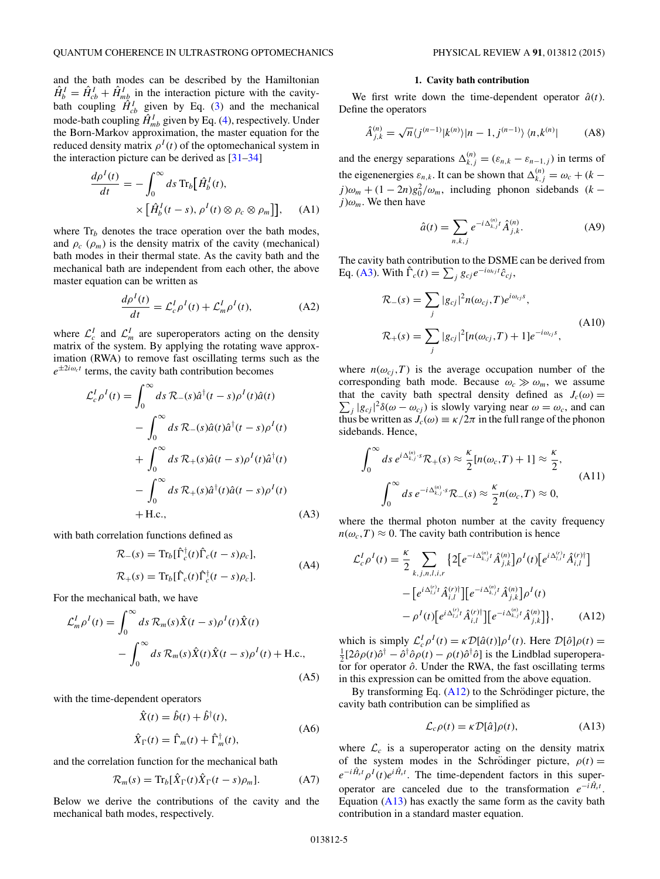<span id="page-4-0"></span>and the bath modes can be described by the Hamiltonian  $\hat{H}_{b}^{I} = \hat{H}_{cb}^{I} + \hat{H}_{mb}^{I}$  in the interaction picture with the cavitybath coupling  $\hat{H}_{cb}^I$  given by Eq. [\(3\)](#page-1-0) and the mechanical mode-bath coupling  $\hat{H}_{mb}^I$  given by Eq. [\(4\)](#page-1-0), respectively. Under the Born-Markov approximation, the master equation for the reduced density matrix  $\rho^{I}(t)$  of the optomechanical system in the interaction picture can be derived as  $[31-34]$ 

$$
\frac{d\rho^I(t)}{dt} = -\int_0^\infty ds \operatorname{Tr}_b\big[\hat{H}_b^I(t),\n\times \big[\hat{H}_b^I(t-s), \rho^I(t) \otimes \rho_c \otimes \rho_m\big]\big],\n\quad (A1)
$$

where  $Tr_b$  denotes the trace operation over the bath modes, and  $\rho_c$  ( $\rho_m$ ) is the density matrix of the cavity (mechanical) bath modes in their thermal state. As the cavity bath and the mechanical bath are independent from each other, the above master equation can be written as

$$
\frac{d\rho^I(t)}{dt} = \mathcal{L}_c^I \rho^I(t) + \mathcal{L}_m^I \rho^I(t),\tag{A2}
$$

where  $\mathcal{L}_{c}^{I}$  and  $\mathcal{L}_{m}^{I}$  are superoperators acting on the density matrix of the system. By applying the rotating wave approximation (RWA) to remove fast oscillating terms such as the  $e^{\pm 2i\omega_c t}$  terms, the cavity bath contribution becomes

$$
\mathcal{L}_c^I \rho^I(t) = \int_0^\infty ds \, \mathcal{R}_-(s) \hat{a}^\dagger(t-s) \rho^I(t) \hat{a}(t)
$$
  

$$
- \int_0^\infty ds \, \mathcal{R}_-(s) \hat{a}(t) \hat{a}^\dagger(t-s) \rho^I(t)
$$
  

$$
+ \int_0^\infty ds \, \mathcal{R}_+(s) \hat{a}(t-s) \rho^I(t) \hat{a}^\dagger(t)
$$
  

$$
- \int_0^\infty ds \, \mathcal{R}_+(s) \hat{a}^\dagger(t) \hat{a}(t-s) \rho^I(t)
$$
  

$$
+ \text{H.c.}, \qquad (A3)
$$

with bath correlation functions defined as

$$
\mathcal{R}_{-}(s) = \text{Tr}_{b}[\hat{\Gamma}_{c}^{\dagger}(t)\hat{\Gamma}_{c}(t-s)\rho_{c}],
$$
  
\n
$$
\mathcal{R}_{+}(s) = \text{Tr}_{b}[\hat{\Gamma}_{c}(t)\hat{\Gamma}_{c}^{\dagger}(t-s)\rho_{c}].
$$
\n(A4)

For the mechanical bath, we have

$$
\mathcal{L}_m^I \rho^I(t) = \int_0^\infty ds \, \mathcal{R}_m(s) \hat{X}(t-s) \rho^I(t) \hat{X}(t)
$$

$$
- \int_0^\infty ds \, \mathcal{R}_m(s) \hat{X}(t) \hat{X}(t-s) \rho^I(t) + \text{H.c.}, \tag{A5}
$$

with the time-dependent operators

$$
\hat{X}(t) = \hat{b}(t) + \hat{b}^{\dagger}(t),
$$
  
\n
$$
\hat{X}_{\Gamma}(t) = \hat{\Gamma}_m(t) + \hat{\Gamma}_m^{\dagger}(t),
$$
\n(A6)

and the correlation function for the mechanical bath

$$
\mathcal{R}_m(s) = \text{Tr}_b[\hat{X}_{\Gamma}(t)\hat{X}_{\Gamma}(t-s)\rho_m]. \tag{A7}
$$

Below we derive the contributions of the cavity and the mechanical bath modes, respectively.

### **1. Cavity bath contribution**

We first write down the time-dependent operator  $\hat{a}(t)$ . Define the operators

$$
\hat{A}_{j,k}^{(n)} = \sqrt{n} \langle j^{(n-1)} | k^{(n)} \rangle | n-1, j^{(n-1)} \rangle \langle n, k^{(n)} |
$$
 (A8)

and the energy separations  $\Delta_{k,j}^{(n)} = (\varepsilon_{n,k} - \varepsilon_{n-1,j})$  in terms of the eigenenergies  $\varepsilon_{n,k}$ . It can be shown that  $\Delta_{k,j}^{(n)} = \omega_c + (k - \frac{1}{n})$  $j)\omega_m + (1 - 2n)g_0^2/\omega_m$ , including phonon sidebands (*k* −  $j) \omega_m$ . We then have

$$
\hat{a}(t) = \sum_{n,k,j} e^{-i\Delta_{k,j}^{(n)}t} \hat{A}_{j,k}^{(n)}.
$$
 (A9)

The cavity bath contribution to the DSME can be derived from Eq. (A3). With  $\hat{\Gamma}_c(t) = \sum_j g_{cj} e^{-i\omega_{cj}t} \hat{c}_{cj}$ ,

$$
\mathcal{R}_{-}(s) = \sum_{j} |g_{cj}|^2 n(\omega_{cj}, T) e^{i\omega_{cj}s},
$$
  

$$
\mathcal{R}_{+}(s) = \sum_{j} |g_{cj}|^2 [n(\omega_{cj}, T) + 1] e^{-i\omega_{cj}s},
$$
 (A10)

where  $n(\omega_{ci}, T)$  is the average occupation number of the corresponding bath mode. Because  $\omega_c \gg \omega_m$ , we assume that the cavity bath spectral density defined as  $J_c(\omega) =$  $\sum_j |g_{cj}|^2 \delta(\omega - \omega_{cj})$  is slowly varying near  $\omega = \omega_c$ , and can thus be written as  $J_c(\omega) \equiv \frac{\kappa}{2\pi}$  in the full range of the phonon sidebands. Hence,

$$
\int_0^\infty ds \, e^{i\Delta_{k,j}^{(n)} \cdot s} \mathcal{R}_+(s) \approx \frac{\kappa}{2} [n(\omega_c, T) + 1] \approx \frac{\kappa}{2},
$$
  

$$
\int_0^\infty ds \, e^{-i\Delta_{k,j}^{(n)} \cdot s} \mathcal{R}_-(s) \approx \frac{\kappa}{2} n(\omega_c, T) \approx 0,
$$
 (A11)

where the thermal photon number at the cavity frequency  $n(\omega_c, T) \approx 0$ . The cavity bath contribution is hence

$$
\mathcal{L}_{c}^{I} \rho^{I}(t) = \frac{\kappa}{2} \sum_{k,j,n,l,i,r} \left\{ 2 \left[ e^{-i \Delta_{k,j}^{(n)}} t \hat{A}_{j,k}^{(n)} \right] \rho^{I}(t) \left[ e^{i \Delta_{l,i}^{(r)}} t \hat{A}_{i,l}^{(r)} \right] - \left[ e^{i \Delta_{l,i}^{(r)}} t \hat{A}_{i,l}^{(r)} \right] \left[ e^{-i \Delta_{k,j}^{(n)}} t \hat{A}_{j,k}^{(n)} \right] \rho^{I}(t) - \rho^{I}(t) \left[ e^{i \Delta_{l,i}^{(r)}} t \hat{A}_{i,l}^{(r)} \right] \left[ e^{-i \Delta_{k,j}^{(n)}} t \hat{A}_{j,k}^{(n)} \right] \right\}, \tag{A12}
$$

which is simply  $\mathcal{L}_{c}^{I} \rho^{I}(t) = \kappa \mathcal{D}[\hat{a}(t)] \rho^{I}(t)$ . Here  $\mathcal{D}[\hat{o}]\rho(t) = \frac{1}{2} [\partial \hat{a}(t)\hat{a}^{\dagger} - \hat{a}^{\dagger} \hat{a}(t) - \rho(t)\hat{a}^{\dagger} \hat{a}]$  is the Lindblad superprese- $\frac{1}{2} [2 \partial \rho(t) \partial^{\dagger} - \partial^{\dagger} \partial \rho(t) - \rho(t) \partial^{\dagger} \partial]$  is the Lindblad superoperator for operator  $\hat{o}$ . Under the RWA, the fast oscillating terms in this expression can be omitted from the above equation.

By transforming Eq.  $(A12)$  to the Schrödinger picture, the cavity bath contribution can be simplified as

$$
\mathcal{L}_c \rho(t) = \kappa \mathcal{D}[\hat{a}] \rho(t), \tag{A13}
$$

where  $\mathcal{L}_c$  is a superoperator acting on the density matrix of the system modes in the Schrödinger picture,  $\rho(t) =$  $e^{-i\hat{H}_s t} \rho^I(t) e^{i\hat{H}_s t}$ . The time-dependent factors in this superoperator are canceled due to the transformation  $e^{-i\hat{H}_s t}$ . Equation (A13) has exactly the same form as the cavity bath contribution in a standard master equation.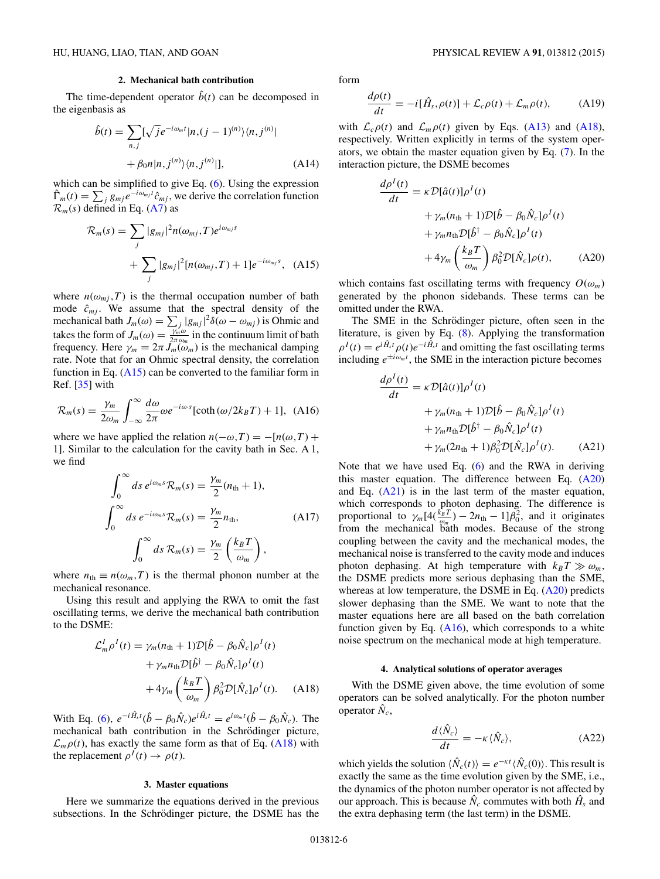### **2. Mechanical bath contribution**

<span id="page-5-0"></span>The time-dependent operator  $\hat{b}(t)$  can be decomposed in the eigenbasis as

$$
\hat{b}(t) = \sum_{n,j} [\sqrt{j}e^{-i\omega_m t} |n,(j-1)^{(n)}\rangle\langle n,j^{(n)}|
$$
  
+  $\beta_0 n |n,j^{(n)}\rangle\langle n,j^{(n)}|]$ , (A14)

which can be simplified to give Eq. [\(6\)](#page-1-0). Using the expression  $\hat{\Gamma}_m(t) = \sum_j g_{mj} e^{-i\omega_{mj}t} \hat{c}_{mj}$ , we derive the correlation function  $\mathcal{R}_m(s)$  defined in Eq. [\(A7\)](#page-4-0) as

$$
\mathcal{R}_m(s) = \sum_j |g_{mj}|^2 n(\omega_{mj}, T) e^{i\omega_{mj}s} + \sum_j |g_{mj}|^2 [n(\omega_{mj}, T) + 1] e^{-i\omega_{mj}s}, \quad (A15)
$$

where  $n(\omega_{mi}, T)$  is the thermal occupation number of bath mode  $\hat{c}_{mj}$ . We assume that the spectral density of the mechanical bath  $J_m(\omega) = \sum_j |g_{mj}|^2 \delta(\omega - \omega_{mj})$  is Ohmic and takes the form of  $J_m(\omega) = \frac{\gamma_m^{\omega} \omega}{2\pi \omega_m}$  in the continuum limit of bath frequency. Here  $\gamma_m = 2\pi J_m(\omega_m)$  is the mechanical damping rate. Note that for an Ohmic spectral density, the correlation function in Eq.  $(A15)$  can be converted to the familiar form in Ref. [\[35\]](#page-7-0) with

$$
\mathcal{R}_m(s) = \frac{\gamma_m}{2\omega_m} \int_{-\infty}^{\infty} \frac{d\omega}{2\pi} \omega e^{-i\omega \cdot s} [\coth(\omega/2k_B T) + 1], \text{ (A16)}
$$

where we have applied the relation  $n(-\omega,T) = -[n(\omega,T) +$ 1]. Similar to the calculation for the cavity bath in Sec. A 1, we find

$$
\int_0^\infty ds \, e^{i\omega_m s} \mathcal{R}_m(s) = \frac{\gamma_m}{2} (n_{\text{th}} + 1),
$$

$$
\int_0^\infty ds \, e^{-i\omega_m s} \mathcal{R}_m(s) = \frac{\gamma_m}{2} n_{\text{th}}, \tag{A17}
$$

$$
\int_0^\infty ds \, \mathcal{R}_m(s) = \frac{\gamma_m}{2} \left( \frac{k_B T}{\omega_m} \right),
$$

where  $n_{\text{th}} \equiv n(\omega_m, T)$  is the thermal phonon number at the mechanical resonance.

Using this result and applying the RWA to omit the fast oscillating terms, we derive the mechanical bath contribution to the DSME:

$$
\mathcal{L}_m^I \rho^I(t) = \gamma_m (n_{\text{th}} + 1) \mathcal{D}[\hat{b} - \beta_0 \hat{N}_c] \rho^I(t)
$$
  
+  $\gamma_m n_{\text{th}} \mathcal{D}[\hat{b}^\dagger - \beta_0 \hat{N}_c] \rho^I(t)$   
+  $4 \gamma_m \left(\frac{k_B T}{\omega_m}\right) \beta_0^2 \mathcal{D}[\hat{N}_c] \rho^I(t).$  (A18)

With Eq. [\(6\)](#page-1-0),  $e^{-i\hat{H}_s t}(\hat{b} - \beta_0 \hat{N}_c)e^{i\hat{H}_s t} = e^{i\omega_m t}(\hat{b} - \beta_0 \hat{N}_c)$ . The mechanical bath contribution in the Schrödinger picture,  $\mathcal{L}_m \rho(t)$ , has exactly the same form as that of Eq. (A18) with the replacement  $\rho^I(t) \to \rho(t)$ .

#### **3. Master equations**

Here we summarize the equations derived in the previous subsections. In the Schrödinger picture, the DSME has the form

$$
\frac{d\rho(t)}{dt} = -i[\hat{H}_s, \rho(t)] + \mathcal{L}_c \rho(t) + \mathcal{L}_m \rho(t), \quad (A19)
$$

with  $\mathcal{L}_c \rho(t)$  and  $\mathcal{L}_m \rho(t)$  given by Eqs. [\(A13\)](#page-4-0) and (A18), respectively. Written explicitly in terms of the system operators, we obtain the master equation given by Eq. [\(7\)](#page-1-0). In the interaction picture, the DSME becomes

$$
\frac{d\rho^{I}(t)}{dt} = \kappa \mathcal{D}[\hat{a}(t)]\rho^{I}(t) \n+ \gamma_{m}(n_{\text{th}} + 1)\mathcal{D}[\hat{b} - \beta_{0}\hat{N}_{c}]\rho^{I}(t) \n+ \gamma_{m}n_{\text{th}}\mathcal{D}[\hat{b}^{\dagger} - \beta_{0}\hat{N}_{c}]\rho^{I}(t) \n+ 4\gamma_{m}\left(\frac{k_{B}T}{\omega_{m}}\right)\beta_{0}^{2}\mathcal{D}[\hat{N}_{c}]\rho(t), \qquad (A20)
$$

which contains fast oscillating terms with frequency  $O(\omega_m)$ generated by the phonon sidebands. These terms can be omitted under the RWA.

The SME in the Schrödinger picture, often seen in the literature, is given by Eq. [\(8\)](#page-1-0). Applying the transformation  $\rho^I(t) = e^{i\hat{H}_s t} \rho(t) e^{-i\hat{H}_s t}$  and omitting the fast oscillating terms including  $e^{\pm i \omega_m t}$ , the SME in the interaction picture becomes

$$
\frac{d\rho^{I}(t)}{dt} = \kappa \mathcal{D}[\hat{a}(t)]\rho^{I}(t)
$$
  
+  $\gamma_{m}(n_{\text{th}} + 1)\mathcal{D}[\hat{b} - \beta_{0}\hat{N}_{c}]\rho^{I}(t)$   
+  $\gamma_{m}n_{\text{th}}\mathcal{D}[\hat{b}^{\dagger} - \beta_{0}\hat{N}_{c}]\rho^{I}(t)$   
+  $\gamma_{m}(2n_{\text{th}} + 1)\beta_{0}^{2}\mathcal{D}[\hat{N}_{c}]\rho^{I}(t).$  (A21)

Note that we have used Eq. [\(6\)](#page-1-0) and the RWA in deriving this master equation. The difference between Eq.  $(A20)$ and Eq.  $(A21)$  is in the last term of the master equation, which corresponds to photon dephasing. The difference is proportional to  $\gamma_m[4(\frac{k_BT}{\omega_m})-2n_{\text{th}}-1]\beta_0^2$ , and it originates from the mechanical bath modes. Because of the strong coupling between the cavity and the mechanical modes, the mechanical noise is transferred to the cavity mode and induces photon dephasing. At high temperature with  $k_B T \gg \omega_m$ , the DSME predicts more serious dephasing than the SME, whereas at low temperature, the DSME in Eq. (A20) predicts slower dephasing than the SME. We want to note that the master equations here are all based on the bath correlation function given by Eq.  $(A16)$ , which corresponds to a white noise spectrum on the mechanical mode at high temperature.

#### **4. Analytical solutions of operator averages**

With the DSME given above, the time evolution of some operators can be solved analytically. For the photon number operator  $\hat{N}_c$ ,

$$
\frac{d\langle \hat{N}_c \rangle}{dt} = -\kappa \langle \hat{N}_c \rangle, \tag{A22}
$$

which yields the solution  $\langle \hat{N}_c(t) \rangle = e^{-\kappa t} \langle \hat{N}_c(0) \rangle$ . This result is exactly the same as the time evolution given by the SME, i.e., the dynamics of the photon number operator is not affected by our approach. This is because  $\hat{N}_c$  commutes with both  $\hat{H}_s$  and the extra dephasing term (the last term) in the DSME.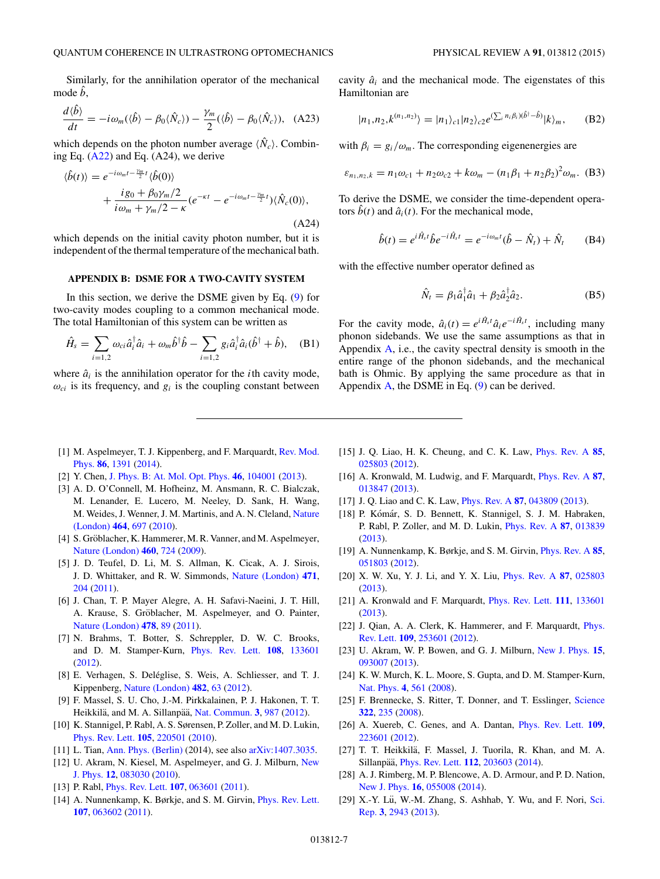<span id="page-6-0"></span>Similarly, for the annihilation operator of the mechanical mode *b*,

$$
\frac{d\langle \hat{b} \rangle}{dt} = -i\omega_m(\langle \hat{b} \rangle - \beta_0 \langle \hat{N}_c \rangle) - \frac{\gamma_m}{2}(\langle \hat{b} \rangle - \beta_0 \langle \hat{N}_c \rangle), \quad \text{(A23)}
$$

which depends on the photon number average  $\langle \hat{N}_c \rangle$ . Combining Eq. [\(A22\)](#page-5-0) and Eq. (A24), we derive

$$
\langle \hat{b}(t) \rangle = e^{-i\omega_m t - \frac{\gamma_m}{2}t} \langle \hat{b}(0) \rangle
$$
  
+ 
$$
\frac{i g_0 + \beta_0 \gamma_m/2}{i\omega_m + \gamma_m/2 - \kappa} (e^{-\kappa t} - e^{-i\omega_m t - \frac{\gamma_m}{2}t}) \langle \hat{N}_c(0) \rangle,
$$
  
(A24)

which depends on the initial cavity photon number, but it is independent of the thermal temperature of the mechanical bath.

# **APPENDIX B: DSME FOR A TWO-CAVITY SYSTEM**

In this section, we derive the DSME given by Eq.  $(9)$  for two-cavity modes coupling to a common mechanical mode. The total Hamiltonian of this system can be written as

$$
\hat{H}_s = \sum_{i=1,2} \omega_{ci} \hat{a}_i^\dagger \hat{a}_i + \omega_m \hat{b}^\dagger \hat{b} - \sum_{i=1,2} g_i \hat{a}_i^\dagger \hat{a}_i (\hat{b}^\dagger + \hat{b}), \quad \text{(B1)}
$$

where  $\hat{a}_i$  is the annihilation operator for the *i*th cavity mode,  $\omega_{ci}$  is its frequency, and  $g_i$  is the coupling constant between cavity  $\hat{a}_i$  and the mechanical mode. The eigenstates of this Hamiltonian are

$$
|n_1, n_2, k^{(n_1, n_2)}\rangle = |n_1\rangle_{c1} |n_2\rangle_{c2} e^{\langle \sum_i n_i \beta_i \rangle (\hat{b}^\dagger - \hat{b})} |k\rangle_m, \quad (B2)
$$

with  $\beta_i = g_i/\omega_m$ . The corresponding eigenenergies are

$$
\varepsilon_{n_1,n_2,k} = n_1 \omega_{c1} + n_2 \omega_{c2} + k \omega_m - (n_1 \beta_1 + n_2 \beta_2)^2 \omega_m.
$$
 (B3)

To derive the DSME, we consider the time-dependent operators  $\hat{b}(t)$  and  $\hat{a}_i(t)$ . For the mechanical mode,

$$
\hat{b}(t) = e^{i\hat{H}_{s}t} \hat{b} e^{-i\hat{H}_{s}t} = e^{-i\omega_{m}t} (\hat{b} - \hat{N}_{t}) + \hat{N}_{t}
$$
 (B4)

with the effective number operator defined as

$$
\hat{N}_t = \beta_1 \hat{a}_1^\dagger \hat{a}_1 + \beta_2 \hat{a}_2^\dagger \hat{a}_2. \tag{B5}
$$

For the cavity mode,  $\hat{a}_i(t) = e^{i\hat{H}_s t} \hat{a}_i e^{-i\hat{H}_s t}$ , including many phonon sidebands. We use the same assumptions as that in Appendix  $\overline{A}$ , i.e., the cavity spectral density is smooth in the entire range of the phonon sidebands, and the mechanical bath is Ohmic. By applying the same procedure as that in Appendix  $\overline{A}$ , the DSME in Eq. [\(9\)](#page-3-0) can be derived.

- [1] [M. Aspelmeyer, T. J. Kippenberg, and F. Marquardt,](http://dx.doi.org/10.1103/RevModPhys.86.1391) Rev. Mod. Phys. **[86](http://dx.doi.org/10.1103/RevModPhys.86.1391)**, [1391](http://dx.doi.org/10.1103/RevModPhys.86.1391) [\(2014\)](http://dx.doi.org/10.1103/RevModPhys.86.1391).
- [2] Y. Chen, [J. Phys. B: At. Mol. Opt. Phys.](http://dx.doi.org/10.1088/0953-4075/46/10/104001) **[46](http://dx.doi.org/10.1088/0953-4075/46/10/104001)**, [104001](http://dx.doi.org/10.1088/0953-4075/46/10/104001) [\(2013\)](http://dx.doi.org/10.1088/0953-4075/46/10/104001).
- [3] A. D. O'Connell, M. Hofheinz, M. Ansmann, R. C. Bialczak, M. Lenander, E. Lucero, M. Neeley, D. Sank, H. Wang, [M. Weides, J. Wenner, J. M. Martinis, and A. N. Cleland,](http://dx.doi.org/10.1038/nature08967) Nature (London) **[464](http://dx.doi.org/10.1038/nature08967)**, [697](http://dx.doi.org/10.1038/nature08967) [\(2010\)](http://dx.doi.org/10.1038/nature08967).
- [4] S. Gröblacher, K. Hammerer, M. R. Vanner, and M. Aspelmeyer, [Nature \(London\)](http://dx.doi.org/10.1038/nature08171) **[460](http://dx.doi.org/10.1038/nature08171)**, [724](http://dx.doi.org/10.1038/nature08171) [\(2009\)](http://dx.doi.org/10.1038/nature08171).
- [5] J. D. Teufel, D. Li, M. S. Allman, K. Cicak, A. J. Sirois, J. D. Whittaker, and R. W. Simmonds, [Nature \(London\)](http://dx.doi.org/10.1038/nature09898) **[471](http://dx.doi.org/10.1038/nature09898)**, [204](http://dx.doi.org/10.1038/nature09898) [\(2011\)](http://dx.doi.org/10.1038/nature09898).
- [6] J. Chan, T. P. Mayer Alegre, A. H. Safavi-Naeini, J. T. Hill, A. Krause, S. Gröblacher, M. Aspelmeyer, and O. Painter, [Nature \(London\)](http://dx.doi.org/10.1038/nature10461) **[478](http://dx.doi.org/10.1038/nature10461)**, [89](http://dx.doi.org/10.1038/nature10461) [\(2011\)](http://dx.doi.org/10.1038/nature10461).
- [7] N. Brahms, T. Botter, S. Schreppler, D. W. C. Brooks, and D. M. Stamper-Kurn, [Phys. Rev. Lett.](http://dx.doi.org/10.1103/PhysRevLett.108.133601) **[108](http://dx.doi.org/10.1103/PhysRevLett.108.133601)**, [133601](http://dx.doi.org/10.1103/PhysRevLett.108.133601) [\(2012\)](http://dx.doi.org/10.1103/PhysRevLett.108.133601).
- [8] E. Verhagen, S. Deléglise, S. Weis, A. Schliesser, and T. J. Kippenberg, [Nature \(London\)](http://dx.doi.org/10.1038/nature10787) **[482](http://dx.doi.org/10.1038/nature10787)**, [63](http://dx.doi.org/10.1038/nature10787) [\(2012\)](http://dx.doi.org/10.1038/nature10787).
- [9] F. Massel, S. U. Cho, J.-M. Pirkkalainen, P. J. Hakonen, T. T. Heikkilä, and M. A. Sillanpää, [Nat. Commun.](http://dx.doi.org/10.1038/ncomms1993) [3](http://dx.doi.org/10.1038/ncomms1993), [987](http://dx.doi.org/10.1038/ncomms1993) [\(2012\)](http://dx.doi.org/10.1038/ncomms1993).
- [10] K. Stannigel, P. Rabl, A. S. Sørensen, P. Zoller, and M. D. Lukin, [Phys. Rev. Lett.](http://dx.doi.org/10.1103/PhysRevLett.105.220501) **[105](http://dx.doi.org/10.1103/PhysRevLett.105.220501)**, [220501](http://dx.doi.org/10.1103/PhysRevLett.105.220501) [\(2010\)](http://dx.doi.org/10.1103/PhysRevLett.105.220501).
- [11] L. Tian, [Ann. Phys. \(Berlin\)](http://dx.doi.org/10.1002/andp.201400116) (2014), see also [arXiv:1407.3035.](http://arxiv.org/abs/arXiv:1407.3035)
- [12] [U. Akram, N. Kiesel, M. Aspelmeyer, and G. J. Milburn,](http://dx.doi.org/10.1088/1367-2630/12/8/083030) New J. Phys. **[12](http://dx.doi.org/10.1088/1367-2630/12/8/083030)**, [083030](http://dx.doi.org/10.1088/1367-2630/12/8/083030) [\(2010\)](http://dx.doi.org/10.1088/1367-2630/12/8/083030).
- [13] P. Rabl, [Phys. Rev. Lett.](http://dx.doi.org/10.1103/PhysRevLett.107.063601) **[107](http://dx.doi.org/10.1103/PhysRevLett.107.063601)**, [063601](http://dx.doi.org/10.1103/PhysRevLett.107.063601) [\(2011\)](http://dx.doi.org/10.1103/PhysRevLett.107.063601).
- [14] A. Nunnenkamp, K. Børkje, and S. M. Girvin, *[Phys. Rev. Lett.](http://dx.doi.org/10.1103/PhysRevLett.107.063602)* **[107](http://dx.doi.org/10.1103/PhysRevLett.107.063602)**, [063602](http://dx.doi.org/10.1103/PhysRevLett.107.063602) [\(2011\)](http://dx.doi.org/10.1103/PhysRevLett.107.063602).
- [15] J. Q. Liao, H. K. Cheung, and C. K. Law, [Phys. Rev. A](http://dx.doi.org/10.1103/PhysRevA.85.025803) **[85](http://dx.doi.org/10.1103/PhysRevA.85.025803)**, [025803](http://dx.doi.org/10.1103/PhysRevA.85.025803) [\(2012\)](http://dx.doi.org/10.1103/PhysRevA.85.025803).
- [16] A. Kronwald, M. Ludwig, and F. Marquardt, [Phys. Rev. A](http://dx.doi.org/10.1103/PhysRevA.87.013847) **[87](http://dx.doi.org/10.1103/PhysRevA.87.013847)**, [013847](http://dx.doi.org/10.1103/PhysRevA.87.013847) [\(2013\)](http://dx.doi.org/10.1103/PhysRevA.87.013847).
- [17] J. Q. Liao and C. K. Law, [Phys. Rev. A](http://dx.doi.org/10.1103/PhysRevA.87.043809) **[87](http://dx.doi.org/10.1103/PhysRevA.87.043809)**, [043809](http://dx.doi.org/10.1103/PhysRevA.87.043809) [\(2013\)](http://dx.doi.org/10.1103/PhysRevA.87.043809).
- [18] P. Kómár, S. D. Bennett, K. Stannigel, S. J. M. Habraken, P. Rabl, P. Zoller, and M. D. Lukin, [Phys. Rev. A](http://dx.doi.org/10.1103/PhysRevA.87.013839) **[87](http://dx.doi.org/10.1103/PhysRevA.87.013839)**, [013839](http://dx.doi.org/10.1103/PhysRevA.87.013839) [\(2013\)](http://dx.doi.org/10.1103/PhysRevA.87.013839).
- [19] A. Nunnenkamp, K. Børkje, and S. M. Girvin, [Phys. Rev. A](http://dx.doi.org/10.1103/PhysRevA.85.051803) **[85](http://dx.doi.org/10.1103/PhysRevA.85.051803)**, [051803](http://dx.doi.org/10.1103/PhysRevA.85.051803) [\(2012\)](http://dx.doi.org/10.1103/PhysRevA.85.051803).
- [20] X. W. Xu, Y. J. Li, and Y. X. Liu, [Phys. Rev. A](http://dx.doi.org/10.1103/PhysRevA.87.025803) **[87](http://dx.doi.org/10.1103/PhysRevA.87.025803)**, [025803](http://dx.doi.org/10.1103/PhysRevA.87.025803) [\(2013\)](http://dx.doi.org/10.1103/PhysRevA.87.025803).
- [21] A. Kronwald and F. Marquardt, [Phys. Rev. Lett.](http://dx.doi.org/10.1103/PhysRevLett.111.133601) **[111](http://dx.doi.org/10.1103/PhysRevLett.111.133601)**, [133601](http://dx.doi.org/10.1103/PhysRevLett.111.133601) [\(2013\)](http://dx.doi.org/10.1103/PhysRevLett.111.133601).
- [22] [J. Qian, A. A. Clerk, K. Hammerer, and F. Marquardt,](http://dx.doi.org/10.1103/PhysRevLett.109.253601) *Phys.* Rev. Lett. **[109](http://dx.doi.org/10.1103/PhysRevLett.109.253601)**, [253601](http://dx.doi.org/10.1103/PhysRevLett.109.253601) [\(2012\)](http://dx.doi.org/10.1103/PhysRevLett.109.253601).
- [23] U. Akram, W. P. Bowen, and G. J. Milburn, [New J. Phys.](http://dx.doi.org/10.1088/1367-2630/15/9/093007) **[15](http://dx.doi.org/10.1088/1367-2630/15/9/093007)**, [093007](http://dx.doi.org/10.1088/1367-2630/15/9/093007) [\(2013\)](http://dx.doi.org/10.1088/1367-2630/15/9/093007).
- [24] K. W. Murch, K. L. Moore, S. Gupta, and D. M. Stamper-Kurn, [Nat. Phys.](http://dx.doi.org/10.1038/nphys965) **[4](http://dx.doi.org/10.1038/nphys965)**, [561](http://dx.doi.org/10.1038/nphys965) [\(2008\)](http://dx.doi.org/10.1038/nphys965).
- [25] F. Brennecke, S. Ritter, T. Donner, and T. Esslinger, [Science](http://dx.doi.org/10.1126/science.1163218) **[322](http://dx.doi.org/10.1126/science.1163218)**, [235](http://dx.doi.org/10.1126/science.1163218) [\(2008\)](http://dx.doi.org/10.1126/science.1163218).
- [26] A. Xuereb, C. Genes, and A. Dantan, [Phys. Rev. Lett.](http://dx.doi.org/10.1103/PhysRevLett.109.223601) **[109](http://dx.doi.org/10.1103/PhysRevLett.109.223601)**, [223601](http://dx.doi.org/10.1103/PhysRevLett.109.223601) [\(2012\)](http://dx.doi.org/10.1103/PhysRevLett.109.223601).
- [27] T. T. Heikkilä, F. Massel, J. Tuorila, R. Khan, and M. A. Sillanpää, *[Phys. Rev. Lett.](http://dx.doi.org/10.1103/PhysRevLett.112.203603)* **[112](http://dx.doi.org/10.1103/PhysRevLett.112.203603)**, [203603](http://dx.doi.org/10.1103/PhysRevLett.112.203603) [\(2014\)](http://dx.doi.org/10.1103/PhysRevLett.112.203603).
- [28] A. J. Rimberg, M. P. Blencowe, A. D. Armour, and P. D. Nation, [New J. Phys.](http://dx.doi.org/10.1088/1367-2630/16/5/055008) **[16](http://dx.doi.org/10.1088/1367-2630/16/5/055008)**, [055008](http://dx.doi.org/10.1088/1367-2630/16/5/055008) [\(2014\)](http://dx.doi.org/10.1088/1367-2630/16/5/055008).
- [29] X.-Y. Lü, W.-M. Zhang, S. Ashhab, Y. Wu, and F. Nori, Sci. Rep. **[3](http://dx.doi.org/10.1038/srep02943)**, [2943](http://dx.doi.org/10.1038/srep02943) [\(2013\)](http://dx.doi.org/10.1038/srep02943).